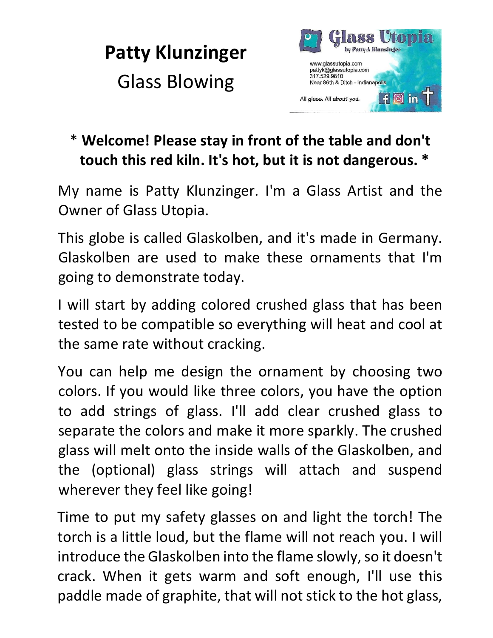



## \* **Welcome! Please stay in front of the table and don't touch this red kiln. It's hot, but it is not dangerous. \***

My name is Patty Klunzinger. I'm a Glass Artist and the Owner of Glass Utopia.

This globe is called Glaskolben, and it's made in Germany. Glaskolben are used to make these ornaments that I'm going to demonstrate today.

I will start by adding colored crushed glass that has been tested to be compatible so everything will heat and cool at the same rate without cracking.

You can help me design the ornament by choosing two colors. If you would like three colors, you have the option to add strings of glass. I'll add clear crushed glass to separate the colors and make it more sparkly. The crushed glass will melt onto the inside walls of the Glaskolben, and the (optional) glass strings will attach and suspend wherever they feel like going!

Time to put my safety glasses on and light the torch! The torch is a little loud, but the flame will not reach you. I will introduce the Glaskolben into the flame slowly, so it doesn't crack. When it gets warm and soft enough, I'll use this paddle made of graphite, that will not stick to the hot glass,